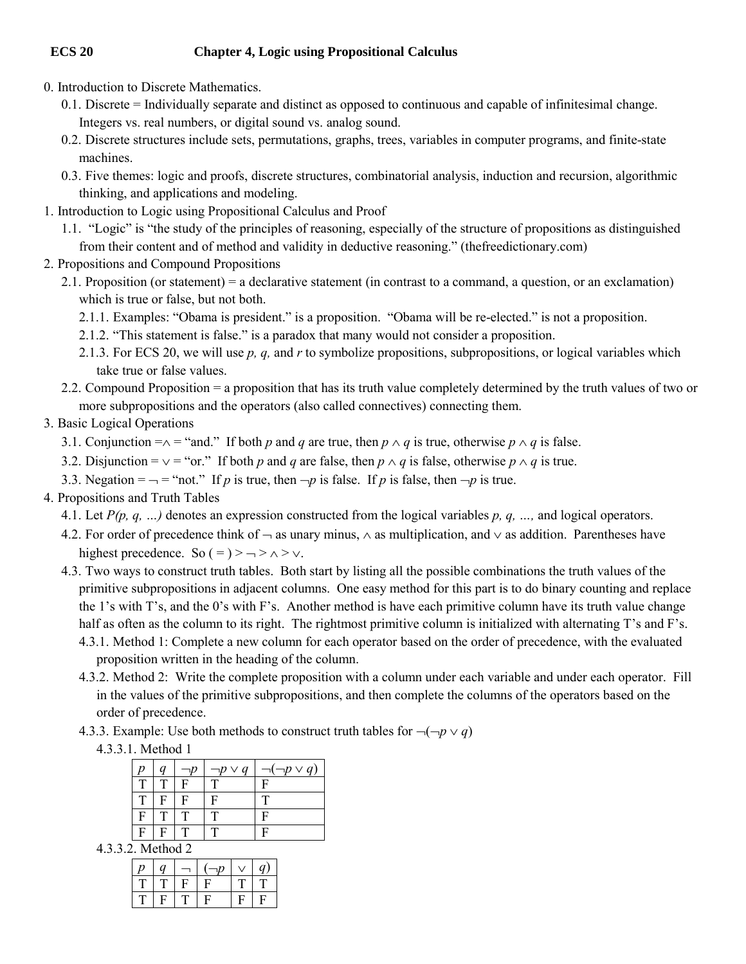## **ECS 20 Chapter 4, Logic using Propositional Calculus**

- 0. Introduction to Discrete Mathematics.
	- 0.1. Discrete = Individually separate and distinct as opposed to continuous and capable of infinitesimal change. Integers vs. real numbers, or digital sound vs. analog sound.
	- 0.2. Discrete structures include sets, permutations, graphs, trees, variables in computer programs, and finite-state machines.
	- 0.3. Five themes: logic and proofs, discrete structures, combinatorial analysis, induction and recursion, algorithmic thinking, and applications and modeling.
- 1. Introduction to Logic using Propositional Calculus and Proof
	- 1.1. "Logic" is "the study of the principles of reasoning, especially of the structure of propositions as distinguished from their content and of method and validity in deductive reasoning." (thefreedictionary.com)
- 2. Propositions and Compound Propositions
	- 2.1. Proposition (or statement) = a declarative statement (in contrast to a command, a question, or an exclamation) which is true or false, but not both.
		- 2.1.1. Examples: "Obama is president." is a proposition. "Obama will be re-elected." is not a proposition.
		- 2.1.2. "This statement is false." is a paradox that many would not consider a proposition.
		- 2.1.3. For ECS 20, we will use *p, q,* and *r* to symbolize propositions, subpropositions, or logical variables which take true or false values.
	- 2.2. Compound Proposition = a proposition that has its truth value completely determined by the truth values of two or more subpropositions and the operators (also called connectives) connecting them.

## 3. Basic Logical Operations

- 3.1. Conjunction  $=\wedge =$  "and." If both *p* and *q* are true, then  $p \wedge q$  is true, otherwise  $p \wedge q$  is false.
- 3.2. Disjunction =  $\vee$  = "or." If both *p* and *q* are false, then  $p \wedge q$  is false, otherwise  $p \wedge q$  is true.
- 3.3. Negation =  $\rightarrow$  = "not." If *p* is true, then  $\neg p$  is false. If *p* is false, then  $\neg p$  is true.
- 4. Propositions and Truth Tables
	- 4.1. Let *P(p, q, …)* denotes an expression constructed from the logical variables *p, q, …,* and logical operators.
	- 4.2. For order of precedence think of  $\rightarrow$  as unary minus,  $\land$  as multiplication, and  $\lor$  as addition. Parentheses have highest precedence. So  $( =) > - \rangle \wedge \rangle \vee$ .
	- 4.3. Two ways to construct truth tables. Both start by listing all the possible combinations the truth values of the primitive subpropositions in adjacent columns. One easy method for this part is to do binary counting and replace the 1's with T's, and the 0's with F's. Another method is have each primitive column have its truth value change half as often as the column to its right. The rightmost primitive column is initialized with alternating T's and F's.
		- 4.3.1. Method 1: Complete a new column for each operator based on the order of precedence, with the evaluated proposition written in the heading of the column.
		- 4.3.2. Method 2: Write the complete proposition with a column under each variable and under each operator. Fill in the values of the primitive subpropositions, and then complete the columns of the operators based on the order of precedence.
		- 4.3.3. Example: Use both methods to construct truth tables for  $\neg(\neg p \lor q)$ 
			- 4.3.3.1. Method 1

|   |   |   | $p \vee q$ | $p \vee q$ |
|---|---|---|------------|------------|
|   |   | Е |            | F          |
|   | с | Ę | Е          |            |
| F |   |   | ௱          | F          |
| Е | E |   |            |            |

4.3.3.2. Method 2

| n | Ω |   |     |  |
|---|---|---|-----|--|
|   |   | u |     |  |
|   |   |   | 47. |  |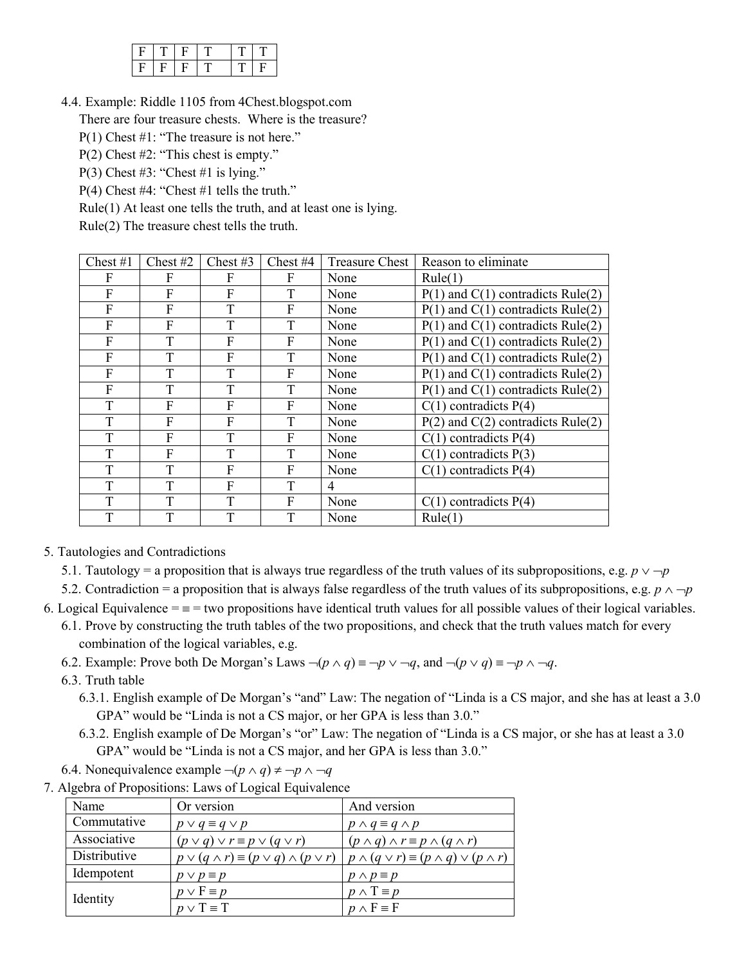4.4. Example: Riddle 1105 from 4Chest.blogspot.com

There are four treasure chests. Where is the treasure?

- P(1) Chest #1: "The treasure is not here."
- P(2) Chest #2: "This chest is empty."
- P(3) Chest  $#3$ : "Chest  $#1$  is lying."
- P(4) Chest #4: "Chest #1 tells the truth."
- Rule(1) At least one tells the truth, and at least one is lying.

Rule(2) The treasure chest tells the truth.

| Chest $#1$ | Chest $#2$ | Chest $#3$ | Chest #4 | <b>Treasure Chest</b> | Reason to eliminate                   |
|------------|------------|------------|----------|-----------------------|---------------------------------------|
| F          | F          | F          | F        | None                  | Rule(1)                               |
| F          | F          | F          | T        | None                  | $P(1)$ and $C(1)$ contradicts Rule(2) |
| F          | F          | T          | F        | None                  | $P(1)$ and $C(1)$ contradicts Rule(2) |
| F          | F          |            | T        | None                  | $P(1)$ and $C(1)$ contradicts Rule(2) |
| F          | T          | F          | F        | None                  | $P(1)$ and $C(1)$ contradicts Rule(2) |
| F          | T          | F          | T        | None                  | $P(1)$ and $C(1)$ contradicts Rule(2) |
| F          | T          | T          | F        | None                  | $P(1)$ and $C(1)$ contradicts Rule(2) |
| F          | T          | T          | T        | None                  | $P(1)$ and $C(1)$ contradicts Rule(2) |
| T          | F          | F          | F        | None                  | $C(1)$ contradicts $P(4)$             |
| T          | F          | F          | T        | None                  | $P(2)$ and $C(2)$ contradicts Rule(2) |
| T          | F          | T          | F        | None                  | $C(1)$ contradicts $P(4)$             |
| T          | F          | T          | T        | None                  | $C(1)$ contradicts $P(3)$             |
| T          | T          | F          | F        | None                  | $C(1)$ contradicts $P(4)$             |
| Т          | T          | F          | T        | 4                     |                                       |
| T          | T          | T          | F        | None                  | $C(1)$ contradicts $P(4)$             |
| T          | T          | T          | T        | None                  | Rule(1)                               |

- 5. Tautologies and Contradictions
	- 5.1. Tautology = a proposition that is always true regardless of the truth values of its subpropositions, e.g.  $p \vee \neg p$
	- 5.2. Contradiction = a proposition that is always false regardless of the truth values of its subpropositions, e.g.  $p \land \neg p$

6. Logical Equivalence  $=$   $=$   $=$  two propositions have identical truth values for all possible values of their logical variables.

- 6.1. Prove by constructing the truth tables of the two propositions, and check that the truth values match for every combination of the logical variables, e.g.
- 6.2. Example: Prove both De Morgan's Laws  $\neg (p \land q) \equiv \neg p \lor \neg q$ , and  $\neg (p \lor q) \equiv \neg p \land \neg q$ .
- 6.3. Truth table
	- 6.3.1. English example of De Morgan's "and" Law: The negation of "Linda is a CS major, and she has at least a 3.0 GPA" would be "Linda is not a CS major, or her GPA is less than 3.0."
	- 6.3.2. English example of De Morgan's "or" Law: The negation of "Linda is a CS major, or she has at least a 3.0 GPA" would be "Linda is not a CS major, and her GPA is less than 3.0."
- 6.4. Nonequivalence example  $\neg (p \land q) \neq \neg p \land \neg q$
- 7. Algebra of Propositions: Laws of Logical Equivalence

| Name         | Or version                                                | And version                                                 |
|--------------|-----------------------------------------------------------|-------------------------------------------------------------|
| Commutative  | $p \vee q \equiv q \vee p$                                | $p \wedge q \equiv q \wedge p$                              |
| Associative  | $(p \vee q) \vee r \equiv p \vee (q \vee r)$              | $(p \wedge q) \wedge r \equiv p \wedge (q \wedge r)$        |
| Distributive | $p \vee (q \wedge r) \equiv (p \vee q) \wedge (p \vee r)$ | $p \wedge (q \vee r) \equiv (p \wedge q) \vee (p \wedge r)$ |
| Idempotent   | $p \vee p \equiv p$                                       | $p \wedge p \equiv p$                                       |
|              | $p \vee F \equiv p$                                       | $p \wedge T \equiv p$                                       |
| Identity     | $p \vee T \equiv T$                                       | $p \wedge F \equiv F$                                       |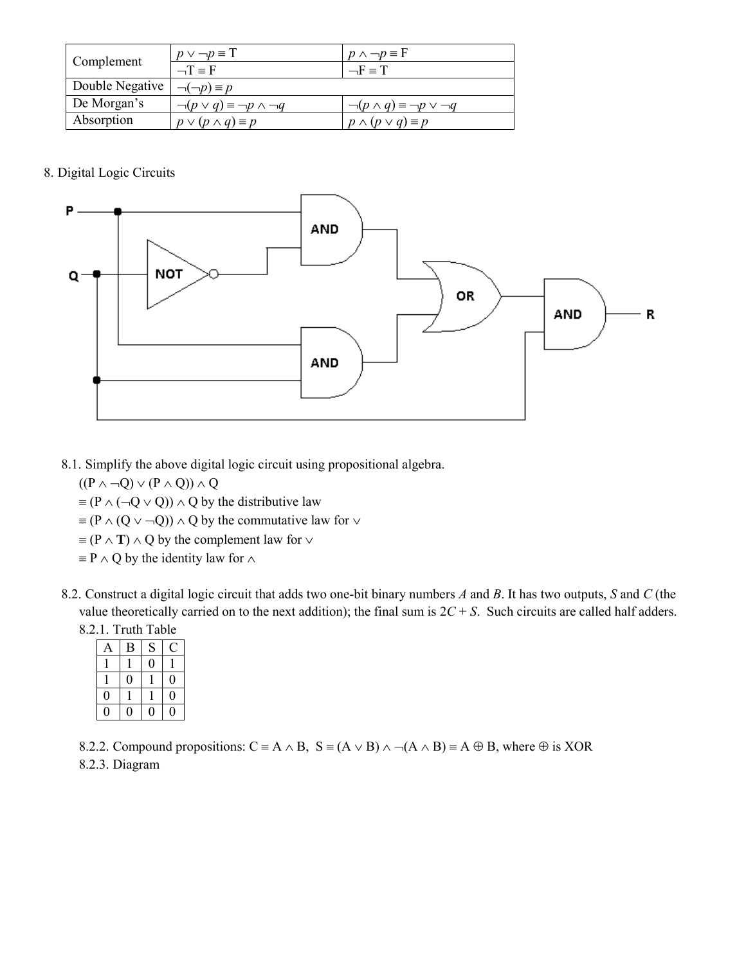|                 | $p \vee \neg p \equiv T$                     | $p \wedge \neg p \equiv F$                    |  |
|-----------------|----------------------------------------------|-----------------------------------------------|--|
| Complement      | $-\Gamma \equiv F$                           | $-F \equiv T$                                 |  |
| Double Negative | $\neg(\neg p) \equiv p$                      |                                               |  |
| De Morgan's     | $\neg (p \lor q) \equiv \neg p \land \neg q$ | $\neg (p \wedge q) \equiv \neg p \vee \neg q$ |  |
| Absorption      | $p \vee (p \wedge q) \equiv p$               | $p \wedge (p \vee q) \equiv p$                |  |

8. Digital Logic Circuits



8.1. Simplify the above digital logic circuit using propositional algebra.

 $((P \land \neg Q) \lor (P \land Q)) \land Q$ 

- $\equiv (P \land (\neg Q \lor Q)) \land Q$  by the distributive law
- $\equiv (P \wedge (Q \vee \neg Q)) \wedge Q$  by the commutative law for  $\vee$
- $\equiv$  (P  $\land$  **T**)  $\land$  Q by the complement law for  $\lor$
- $\equiv$  P  $\wedge$  Q by the identity law for  $\wedge$
- 8.2. Construct a digital logic circuit that adds two one-bit binary numbers *A* and *B*. It has two outputs, *S* and *C* (the value theoretically carried on to the next addition); the final sum is  $2C + S$ . Such circuits are called half adders. 8.2.1. Truth Table

| 11001110010 |   |   |  |  |  |
|-------------|---|---|--|--|--|
|             | B | S |  |  |  |
|             |   |   |  |  |  |
|             |   |   |  |  |  |
|             |   |   |  |  |  |
|             |   |   |  |  |  |

8.2.2. Compound propositions:  $C = A \wedge B$ ,  $S = (A \vee B) \wedge \neg (A \wedge B) = A \oplus B$ , where  $\oplus$  is XOR 8.2.3. Diagram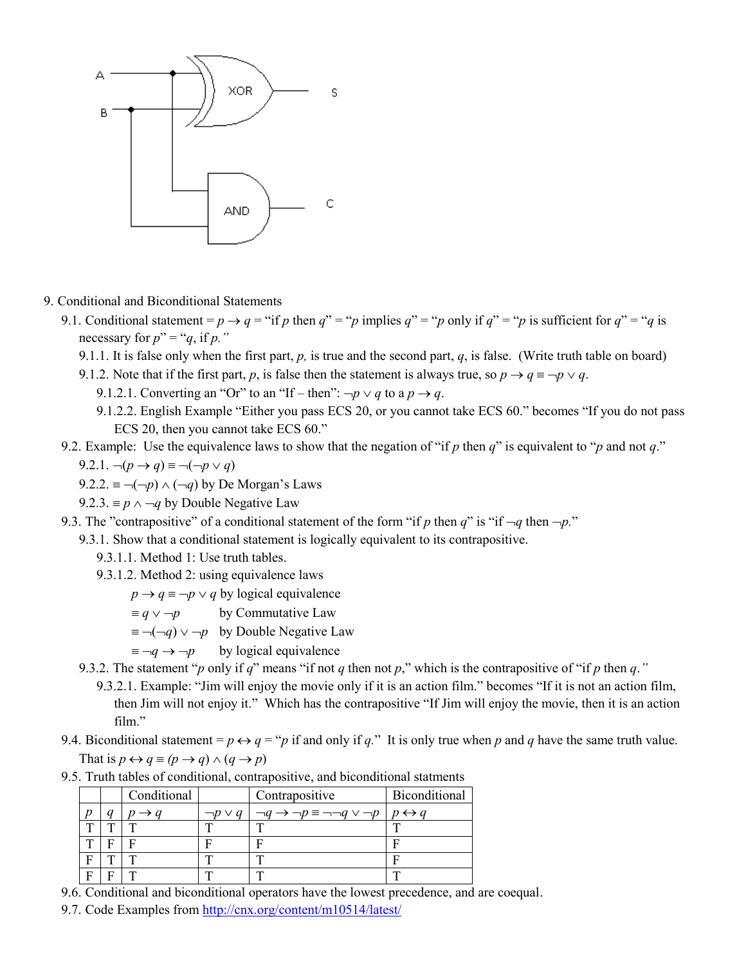

- 9. Conditional and Biconditional Statements
	- 9.1. Conditional statement =  $p \rightarrow q$  = "if *p* then  $q'' =$ "*p* implies  $q'' =$ "*p* only if  $q'' =$ "*p* is sufficient for  $q'' =$ "*q* is necessary for  $p'' = "q$ , if p."
		- 9.1.1. It is false only when the first part,  $p$ , is true and the second part,  $q$ , is false. (Write truth table on board)
		- 9.1.2. Note that if the first part, *p*, is false then the statement is always true, so  $p \rightarrow q \equiv \neg p \lor q$ .
			- 9.1.2.1. Converting an "Or" to an "If then":  $\neg p \lor q$  to a  $p \rightarrow q$ .
			- 9.1.2.2. English Example "Either you pass ECS 20, or you cannot take ECS 60." becomes "If you do not pass ECS 20, then you cannot take ECS 60."
	- 9.2. Example: Use the equivalence laws to show that the negation of "if *p* then *q*" is equivalent to "*p* and not *q*."

$$
9.2.1. \neg (p \rightarrow q) \equiv \neg (\neg p \lor q)
$$

- $9.2.2 \equiv \neg(\neg p) \land (\neg q)$  by De Morgan's Laws
- 9.2.3.  $\equiv p \land \neg q$  by Double Negative Law
- 9.3. The "contrapositive" of a conditional statement of the form "if p then  $q$ " is "if  $\neg q$  then  $\neg p$ ."
	- 9.3.1. Show that a conditional statement is logically equivalent to its contrapositive.
		- 9.3.1.1. Method 1: Use truth tables.
		- 9.3.1.2. Method 2: using equivalence laws
			- $p \rightarrow q \equiv \neg p \lor q$  by logical equivalence
				- $\equiv q \vee \neg p$  by Commutative Law
			- $\equiv \neg(\neg q) \lor \neg p$  by Double Negative Law
			- $\equiv \neg q \rightarrow \neg p$  by logical equivalence
	- 9.3.2. The statement "*p* only if *q*" means "if not *q* then not *p*," which is the contrapositive of "if *p* then *q*."
		- 9.3.2.1. Example: "Jim will enjoy the movie only if it is an action film." becomes "If it is not an action film, then Jim will not enjoy it." Which has the contrapositive "If Jim will enjoy the movie, then it is an action film."
- 9.4. Biconditional statement =  $p \leftrightarrow q = p$  if and only if *q*." It is only true when *p* and *q* have the same truth value. That is  $p \leftrightarrow q \equiv (p \rightarrow q) \land (q \rightarrow p)$

|  |  |  |  |  | 9.5. Truth tables of conditional, contrapositive, and biconditional statments |  |
|--|--|--|--|--|-------------------------------------------------------------------------------|--|
|--|--|--|--|--|-------------------------------------------------------------------------------|--|

|   |   | Conditional |                 | Contrapositive                                      | Biconditional       |
|---|---|-------------|-----------------|-----------------------------------------------------|---------------------|
|   |   |             | $\neg p \vee q$ | $\rightarrow \neg p \equiv \neg \neg q \lor \neg p$ | $\leftrightarrow$ a |
| T |   |             |                 |                                                     |                     |
| ᠇ | □ |             |                 |                                                     |                     |
| F | m |             |                 |                                                     |                     |
| г | г |             |                 | $\mathbf{r}$                                        | ᅲ                   |

- 9.6. Conditional and biconditional operators have the lowest precedence, and are coequal.
- 9.7. Code Examples from<http://cnx.org/content/m10514/latest/>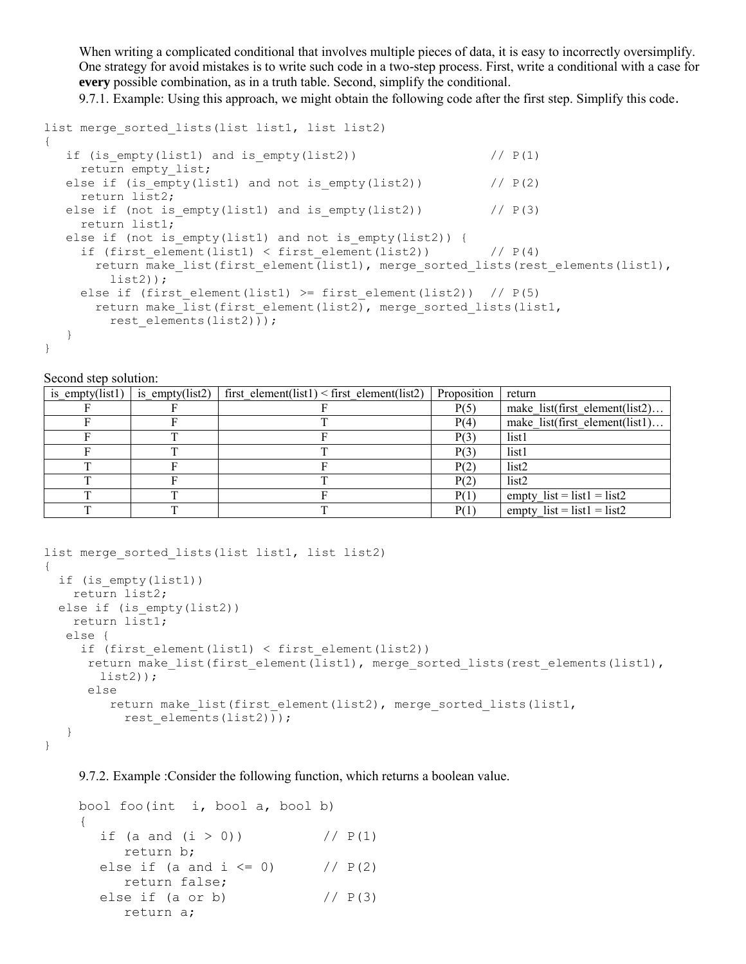When writing a complicated conditional that involves multiple pieces of data, it is easy to incorrectly oversimplify. One strategy for avoid mistakes is to write such code in a two-step process. First, write a conditional with a case for **every** possible combination, as in a truth table. Second, simplify the conditional.

9.7.1. Example: Using this approach, we might obtain the following code after the first step. Simplify this code.

```
list merge sorted lists(list list1, list list2)
{
  if (is empty(list1) and is empty(list2)) // P(1)return empty list;
  else if (is empty(list1) and not is empty(list2)) // P(2) return list2;
  else if (not is empty(list1) and is empty(list2)) // P(3) return list1;
  else if (not is empty(list1) and not is empty(list2)) {
    if (first element(list1) < first element(list2)) // P(4)return make list(first element(list1), merge sorted lists(rest elements(list1),
        list2));
    else if (first element(list1) >= first element(list2)) // P(5)return make list(first element(list2), merge sorted lists(list1,
        rest elements(list2)));
   }
}
```
## Second step solution:

| is empty(list1) | is empty(list2) | first element(list1) < first element(list2) | Proposition | return                         |
|-----------------|-----------------|---------------------------------------------|-------------|--------------------------------|
|                 |                 |                                             | P(5)        | make list(first element(list2) |
|                 |                 |                                             | P(4)        | make list(first element(list1) |
|                 |                 |                                             | P(3)        | list1                          |
|                 |                 |                                             | P(3)        | list1                          |
|                 |                 |                                             | P(2)        | list <sub>2</sub>              |
|                 |                 |                                             | P(2)        | list <sub>2</sub>              |
|                 |                 |                                             | P(1)        | empty $list = list1 = list2$   |
|                 |                 |                                             | P(1)        | empty $list = list1 = list2$   |

```
list merge sorted lists(list list1, list list2)
{
  if (is_empty(list1))
    return list2;
 else if (is empty(list2))
    return list1;
    else {
     if (first element(list1) < first element(list2))
      return make list(first element(list1), merge sorted lists(rest elements(list1),
       list2));
       else
        return make list(first element(list2), merge sorted lists(list1,
          rest elements(list2)));
    }
```

```
}
```
9.7.2. Example :Consider the following function, which returns a boolean value.

```
bool foo(int i, bool a, bool b)
{
  if (a and (i > 0)) // P(1) return b;
  else if (a and i \le 0) // P(2) return false;
  else if (a \text{ or } b) // P(3) return a;
```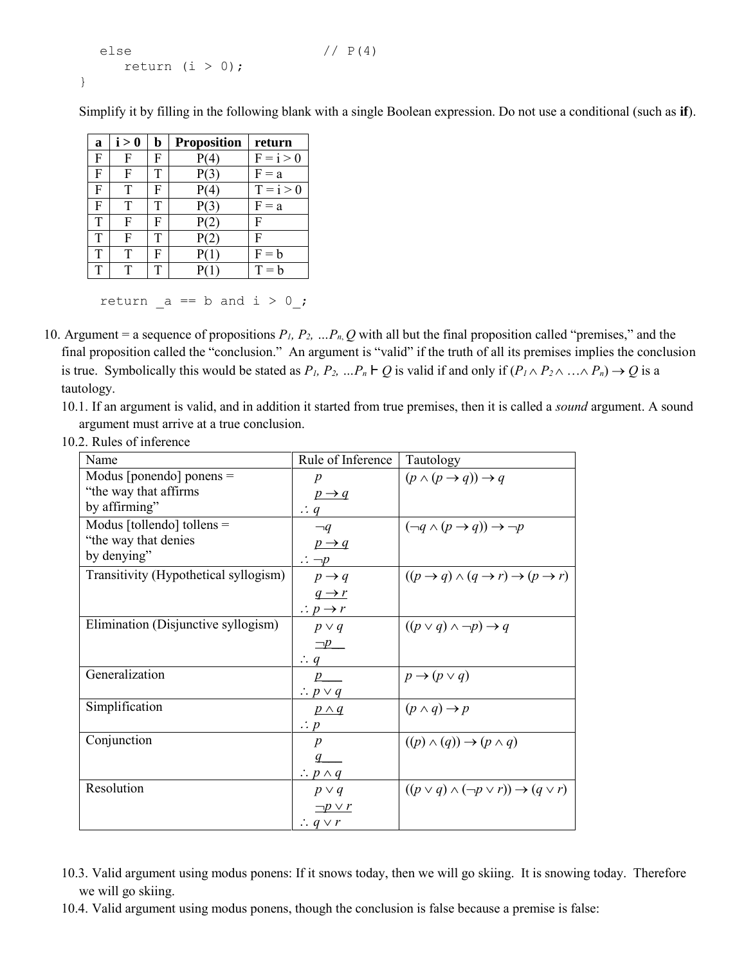```
else //P(4)return (i > 0);
}
```
Simplify it by filling in the following blank with a single Boolean expression. Do not use a conditional (such as **if**).

| a | i > 0 | b | <b>Proposition</b> | return      |
|---|-------|---|--------------------|-------------|
| F | F     | F | P(4)               | $F = i > 0$ |
| F | F     |   | P(3)               | $F = a$     |
| F | Т     | F | P(4)               | $T = i > 0$ |
| F | T     | Т | P(3)               | $F = a$     |
| Т | F     | F | P(2)               | F           |
| T | F     | Т | P(2)               | F           |
| T | T     | F | P(1)               | $F = h$     |
|   | т     |   |                    | $T = b$     |

return  $a == b$  and  $i > 0$ ;

- 10. Argument = a sequence of propositions  $P_1$ ,  $P_2$ ,  $\ldots P_n$ ,  $Q$  with all but the final proposition called "premises," and the final proposition called the "conclusion." An argument is "valid" if the truth of all its premises implies the conclusion is true. Symbolically this would be stated as  $P_1$ ,  $P_2$ ,  $\ldots P_n \vdash Q$  is valid if and only if  $(P_1 \wedge P_2 \wedge \ldots \wedge P_n) \rightarrow Q$  is a tautology.
	- 10.1. If an argument is valid, and in addition it started from true premises, then it is called a *sound* argument. A sound argument must arrive at a true conclusion.
	- 10.2. Rules of inference

| Name                                  | Rule of Inference            | Tautology                                                                   |
|---------------------------------------|------------------------------|-----------------------------------------------------------------------------|
| Modus [ponendo] ponens $=$            | $\boldsymbol{p}$             | $(p \land (p \rightarrow q)) \rightarrow q$                                 |
| "the way that affirms                 | $p \rightarrow q$            |                                                                             |
| by affirming"                         | $\therefore q$               |                                                                             |
| Modus [tollendo] tollens $=$          | $\neg q$                     | $(\neg q \land (p \rightarrow q)) \rightarrow \neg p$                       |
| "the way that denies"                 | $p \rightarrow q$            |                                                                             |
| by denying"                           | $\therefore \neg p$          |                                                                             |
| Transitivity (Hypothetical syllogism) | $p \rightarrow q$            | $((p \rightarrow q) \land (q \rightarrow r) \rightarrow (p \rightarrow r))$ |
|                                       | $q \rightarrow r$            |                                                                             |
|                                       | $\therefore p \rightarrow r$ |                                                                             |
| Elimination (Disjunctive syllogism)   | $p \vee q$                   | $((p \vee q) \wedge \neg p) \rightarrow q$                                  |
|                                       | $\Box p$                     |                                                                             |
|                                       | $\therefore q$ <sub>—</sub>  |                                                                             |
| Generalization                        | p                            | $p \rightarrow (p \vee q)$                                                  |
|                                       | $\therefore p \vee q$        |                                                                             |
| Simplification                        | $p \wedge q$                 | $(p \land q) \rightarrow p$                                                 |
|                                       | $\therefore p$               |                                                                             |
| Conjunction                           | $\boldsymbol{p}$             | $((p) \wedge (q)) \rightarrow (p \wedge q)$                                 |
|                                       |                              |                                                                             |
|                                       | $\therefore p \wedge q$      |                                                                             |
| Resolution                            | $p \vee q$                   | $((p \vee q) \wedge (\neg p \vee r)) \rightarrow (q \vee r)$                |
|                                       | $\neg p \vee r$              |                                                                             |
|                                       | $\therefore q \vee r$        |                                                                             |

- 10.3. Valid argument using modus ponens: If it snows today, then we will go skiing. It is snowing today. Therefore we will go skiing.
- 10.4. Valid argument using modus ponens, though the conclusion is false because a premise is false: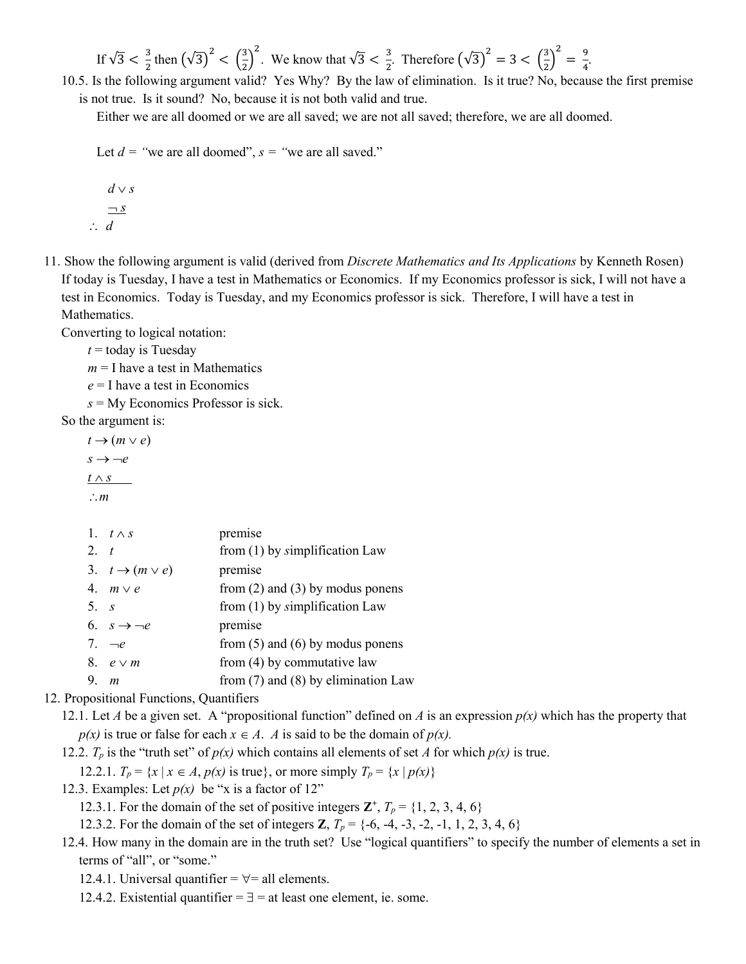If 
$$
\sqrt{3} < \frac{3}{2}
$$
 then  $\left(\sqrt{3}\right)^2 < \left(\frac{3}{2}\right)^2$ . We know that  $\sqrt{3} < \frac{3}{2}$ . Therefore  $\left(\sqrt{3}\right)^2 = 3 < \left(\frac{3}{2}\right)^2 = \frac{9}{4}$ .

10.5. Is the following argument valid? Yes Why? By the law of elimination. Is it true? No, because the first premise is not true. Is it sound? No, because it is not both valid and true.

.

Either we are all doomed or we are all saved; we are not all saved; therefore, we are all doomed.

Let  $d =$  "we are all doomed",  $s =$  "we are all saved."

$$
d \vee s
$$
  

$$
\neg s
$$
  

$$
\therefore d
$$

11. Show the following argument is valid (derived from *Discrete Mathematics and Its Applications* by Kenneth Rosen) If today is Tuesday, I have a test in Mathematics or Economics. If my Economics professor is sick, I will not have a test in Economics. Today is Tuesday, and my Economics professor is sick. Therefore, I will have a test in Mathematics.

Converting to logical notation:

 $t =$  today is Tuesday

 $m = I$  have a test in Mathematics

*e* = I have a test in Economics

*s* = My Economics Professor is sick.

So the argument is:

 $t \rightarrow (m \vee e)$  $s \rightarrow -e$  $t \wedge s$ *m*

|             | 1. $t \wedge s$               | premise                                 |
|-------------|-------------------------------|-----------------------------------------|
| $2 \quad t$ |                               | from $(1)$ by simplification Law        |
|             | 3. $t \rightarrow (m \vee e)$ | premise                                 |
|             | 4. $m \vee e$                 | from $(2)$ and $(3)$ by modus ponens    |
| 5. s        |                               | from $(1)$ by simplification Law        |
|             | 6. $s \rightarrow -e$         | premise                                 |
|             | 7. $-e$                       | from $(5)$ and $(6)$ by modus ponens    |
|             | 8. $e \vee m$                 | from $(4)$ by commutative law           |
| 9. $m$      |                               | from $(7)$ and $(8)$ by elimination Law |

## 12. Propositional Functions, Quantifiers

12.1. Let *A* be a given set. A "propositional function" defined on *A* is an expression  $p(x)$  which has the property that  $p(x)$  is true or false for each  $x \in A$ . *A* is said to be the domain of  $p(x)$ .

12.2.  $T_p$  is the "truth set" of  $p(x)$  which contains all elements of set *A* for which  $p(x)$  is true.

12.2.1.  $T_p = \{x \mid x \in A, p(x) \text{ is true}\}, \text{ or more simply } T_p = \{x \mid p(x)\}\$ 

12.3. Examples: Let  $p(x)$  be "x is a factor of 12"

12.3.1. For the domain of the set of positive integers  $\mathbf{Z}^+$ ,  $T_p = \{1, 2, 3, 4, 6\}$ 

12.3.2. For the domain of the set of integers **Z**,  $T_p = \{-6, -4, -3, -2, -1, 1, 2, 3, 4, 6\}$ 

- 12.4. How many in the domain are in the truth set? Use "logical quantifiers" to specify the number of elements a set in terms of "all", or "some."
	- 12.4.1. Universal quantifier  $=$   $\forall$  = all elements.
	- 12.4.2. Existential quantifier  $=$   $\exists$  = at least one element, ie. some.